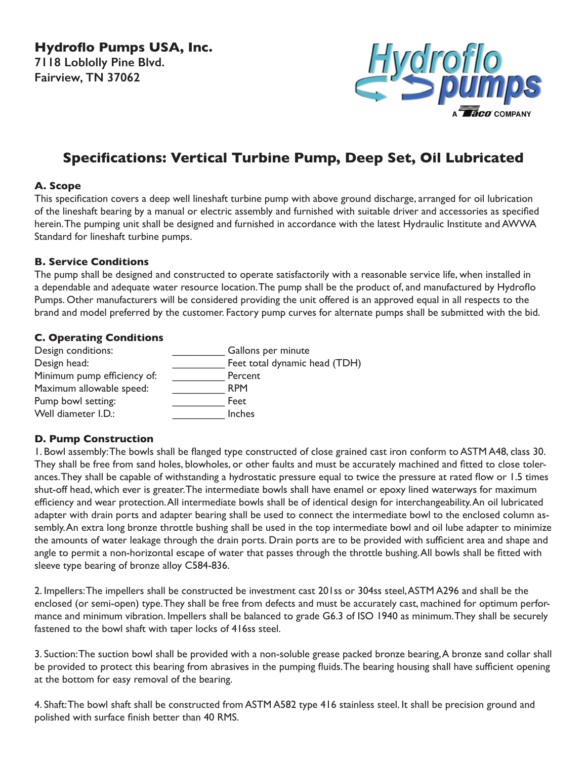**Hydroflo Pumps USA, Inc. 7118 Loblolly Pine Blvd. Fairview, TN 37062**



# **Specifications: Vertical Turbine Pump, Deep Set, Oil Lubricated**

# **A. Scope**

This specification covers a deep well lineshaft turbine pump with above ground discharge, arranged for oil lubrication of the lineshaft bearing by a manual or electric assembly and furnished with suitable driver and accessories as specified herein. The pumping unit shall be designed and furnished in accordance with the latest Hydraulic Institute and AWWA Standard for lineshaft turbine pumps.

### **B. Service Conditions**

The pump shall be designed and constructed to operate satisfactorily with a reasonable service life, when installed in a dependable and adequate water resource location. The pump shall be the product of, and manufactured by Hydroflo Pumps. Other manufacturers will be considered providing the unit offered is an approved equal in all respects to the brand and model preferred by the customer. Factory pump curves for alternate pumps shall be submitted with the bid.

# **C. Operating Conditions**

| Design conditions:          | Gallons per minute            |
|-----------------------------|-------------------------------|
| Design head:                | Feet total dynamic head (TDH) |
| Minimum pump efficiency of: | Percent                       |
| Maximum allowable speed:    | <b>RPM</b>                    |
| Pump bowl setting:          | Feet                          |
| Well diameter I.D.:         | <b>Inches</b>                 |

# **D. Pump Construction**

1. Bowl assembly: The bowls shall be flanged type constructed of close grained cast iron conform to ASTM A48, class 30. They shall be free from sand holes, blowholes, or other faults and must be accurately machined and fitted to close tolerances. They shall be capable of withstanding a hydrostatic pressure equal to twice the pressure at rated flow or 1.5 times shut-off head, which ever is greater. The intermediate bowls shall have enamel or epoxy lined waterways for maximum efficiency and wear protection. All intermediate bowls shall be of identical design for interchangeability. An oil lubricated adapter with drain ports and adapter bearing shall be used to connect the intermediate bowl to the enclosed column assembly. An extra long bronze throttle bushing shall be used in the top intermediate bowl and oil lube adapter to minimize the amounts of water leakage through the drain ports. Drain ports are to be provided with sufficient area and shape and angle to permit a non-horizontal escape of water that passes through the throttle bushing. All bowls shall be fitted with sleeve type bearing of bronze alloy C584-836.

2. Impellers: The impellers shall be constructed be investment cast 201ss or 304ss steel, ASTM A296 and shall be the enclosed (or semi-open) type. They shall be free from defects and must be accurately cast, machined for optimum performance and minimum vibration. Impellers shall be balanced to grade G6.3 of ISO 1940 as minimum. They shall be securely fastened to the bowl shaft with taper locks of 416ss steel.

3. Suction: The suction bowl shall be provided with a non-soluble grease packed bronze bearing, A bronze sand collar shall be provided to protect this bearing from abrasives in the pumping fluids. The bearing housing shall have sufficient opening at the bottom for easy removal of the bearing.

4. Shaft: The bowl shaft shall be constructed from ASTM A582 type 416 stainless steel. It shall be precision ground and polished with surface finish better than 40 RMS.